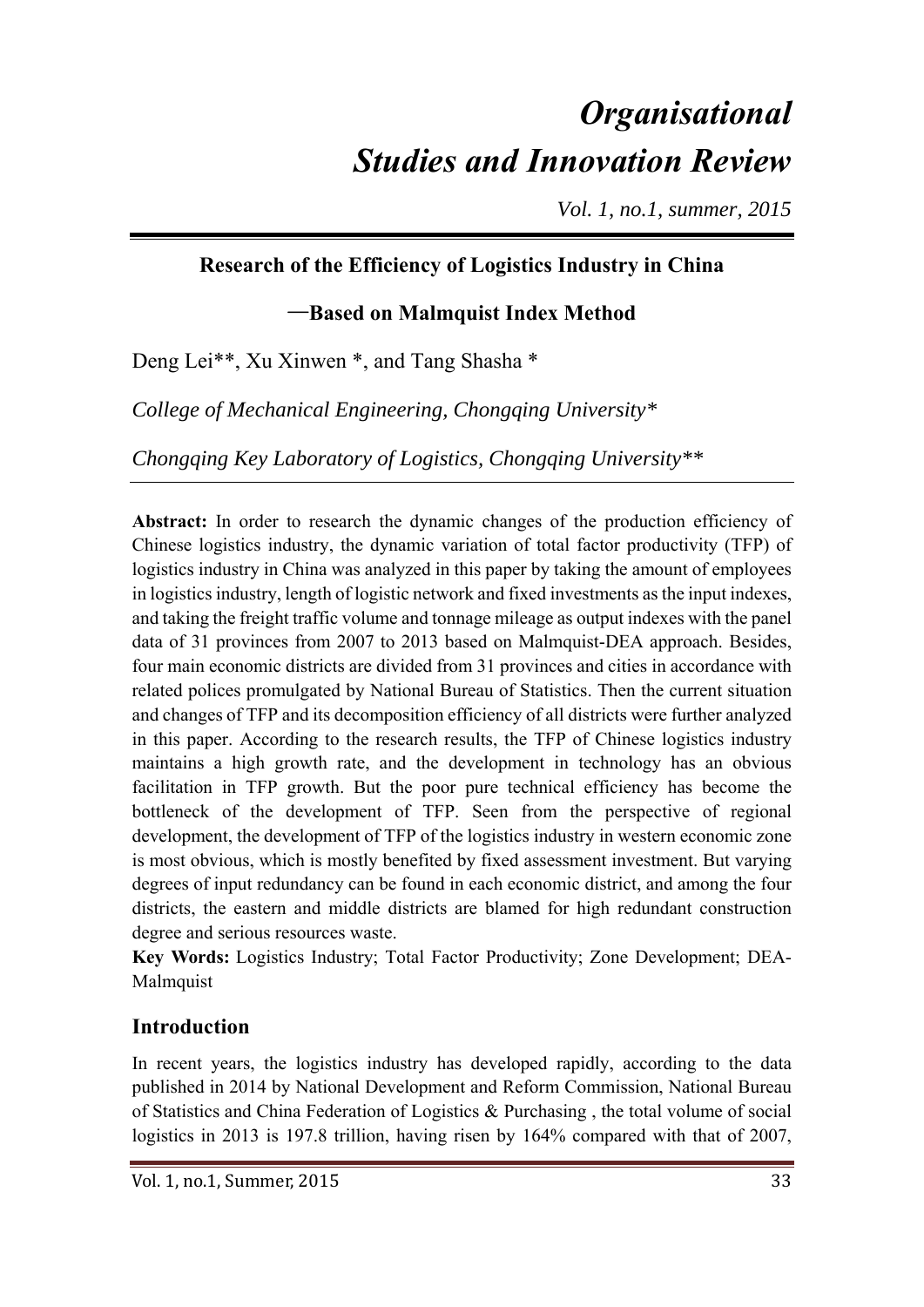# *Organisational Studies and Innovation Review*

*Vol. 1, no.1, summer, 2015* 

### **Research of the Efficiency of Logistics Industry in China**

### —**Based on Malmquist Index Method**

Deng Lei\*\*, Xu Xinwen \*, and Tang Shasha \*

*College of Mechanical Engineering, Chongqing University\** 

*Chongqing Key Laboratory of Logistics, Chongqing University\*\** 

**Abstract:** In order to research the dynamic changes of the production efficiency of Chinese logistics industry, the dynamic variation of total factor productivity (TFP) of logistics industry in China was analyzed in this paper by taking the amount of employees in logistics industry, length of logistic network and fixed investments as the input indexes, and taking the freight traffic volume and tonnage mileage as output indexes with the panel data of 31 provinces from 2007 to 2013 based on Malmquist-DEA approach. Besides, four main economic districts are divided from 31 provinces and cities in accordance with related polices promulgated by National Bureau of Statistics. Then the current situation and changes of TFP and its decomposition efficiency of all districts were further analyzed in this paper. According to the research results, the TFP of Chinese logistics industry maintains a high growth rate, and the development in technology has an obvious facilitation in TFP growth. But the poor pure technical efficiency has become the bottleneck of the development of TFP. Seen from the perspective of regional development, the development of TFP of the logistics industry in western economic zone is most obvious, which is mostly benefited by fixed assessment investment. But varying degrees of input redundancy can be found in each economic district, and among the four districts, the eastern and middle districts are blamed for high redundant construction degree and serious resources waste.

**Key Words:** Logistics Industry; Total Factor Productivity; Zone Development; DEA-**Malmquist** 

#### **Introduction**

In recent years, the logistics industry has developed rapidly, according to the data published in 2014 by National Development and Reform Commission, National Bureau of Statistics and China Federation of Logistics & Purchasing , the total volume of social logistics in 2013 is 197.8 trillion, having risen by 164% compared with that of 2007,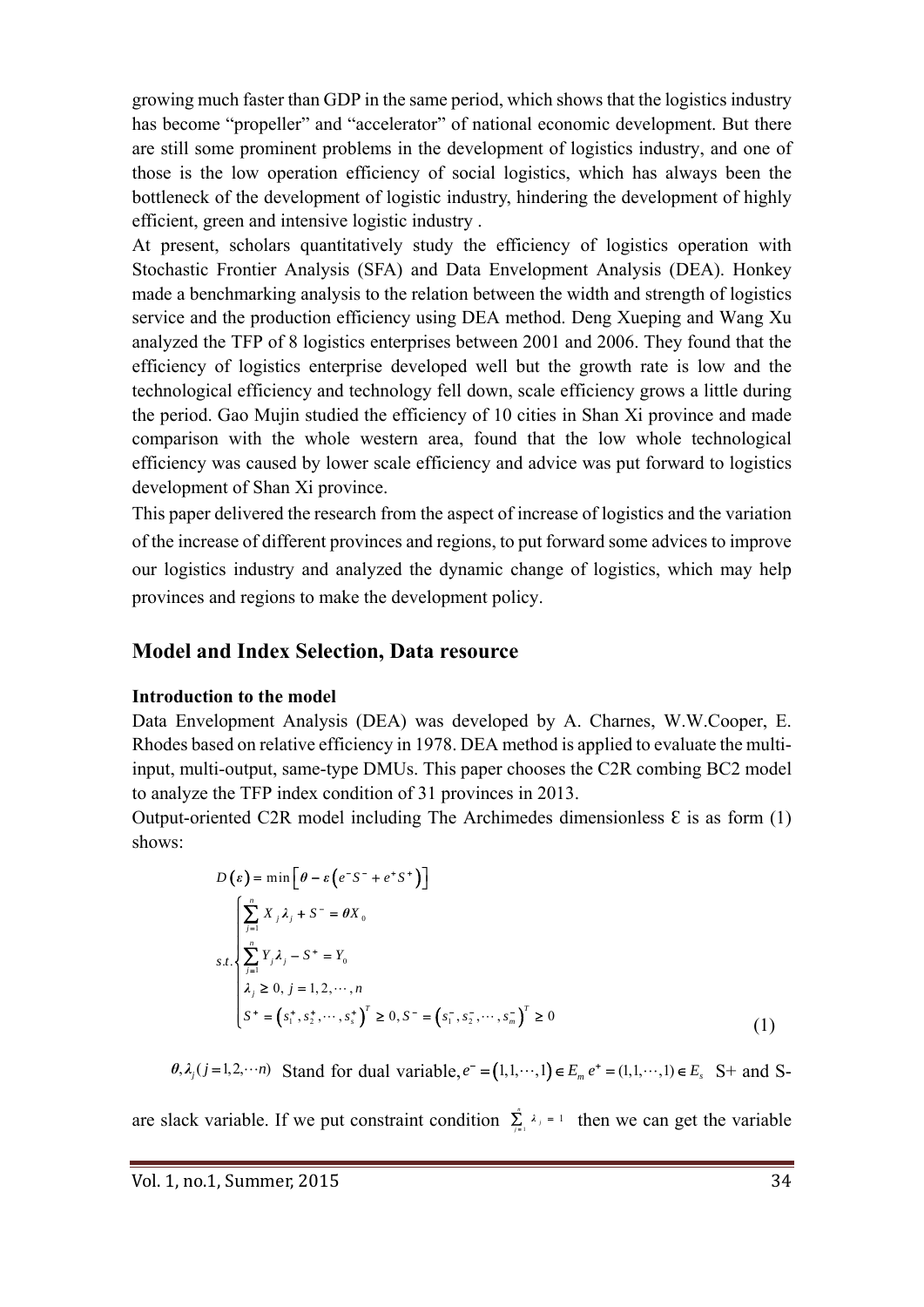growing much faster than GDP in the same period, which shows that the logistics industry has become "propeller" and "accelerator" of national economic development. But there are still some prominent problems in the development of logistics industry, and one of those is the low operation efficiency of social logistics, which has always been the bottleneck of the development of logistic industry, hindering the development of highly efficient, green and intensive logistic industry .

At present, scholars quantitatively study the efficiency of logistics operation with Stochastic Frontier Analysis (SFA) and Data Envelopment Analysis (DEA). Honkey made a benchmarking analysis to the relation between the width and strength of logistics service and the production efficiency using DEA method. Deng Xueping and Wang Xu analyzed the TFP of 8 logistics enterprises between 2001 and 2006. They found that the efficiency of logistics enterprise developed well but the growth rate is low and the technological efficiency and technology fell down, scale efficiency grows a little during the period. Gao Mujin studied the efficiency of 10 cities in Shan Xi province and made comparison with the whole western area, found that the low whole technological efficiency was caused by lower scale efficiency and advice was put forward to logistics development of Shan Xi province.

This paper delivered the research from the aspect of increase of logistics and the variation of the increase of different provinces and regions, to put forward some advices to improve our logistics industry and analyzed the dynamic change of logistics, which may help provinces and regions to make the development policy.

#### **Model and Index Selection, Data resource**

#### **Introduction to the model**

Data Envelopment Analysis (DEA) was developed by A. Charnes, W.W.Cooper, E. Rhodes based on relative efficiency in 1978. DEA method is applied to evaluate the multiinput, multi-output, same-type DMUs. This paper chooses the C2R combing BC2 model to analyze the TFP index condition of 31 provinces in 2013.

Output-oriented C2R model including The Archimedes dimensionless  $\epsilon$  is as form (1) shows:

$$
D(\varepsilon) = \min \left[ \theta - \varepsilon \left( e^{-S^-} + e^+ S^+ \right) \right]
$$
  

$$
\sum_{s,t} \left[ \sum_{j=1}^n X_j \lambda_j + S^- = \theta X_0 \right]
$$
  

$$
s.t. \begin{cases} \sum_{j=1}^n Y_j \lambda_j - S^+ = Y_0 \\ \sum_{j=1}^n Y_j \lambda_j - S^+ = Y_0 \\ \lambda_j \ge 0, j = 1, 2, \dots, n \\ S^+ = \left( s_1^+, s_2^+, \dots, s_s^+ \right)^T \ge 0, S^- = \left( s_1^-, s_2^-, \dots, s_m^- \right)^T \ge 0 \end{cases}
$$
 (1)

 $\theta$ ,  $\lambda_j$  ( $j = 1, 2, \dots n$ ) Stand for dual variable,  $e^-(1,1,\dots,1) \in E_n$ ,  $e^+ = (1,1,\dots,1) \in E_s$ . S+ and S-

are slack variable. If we put constraint condition  $\sum_{i=1}^{n} \lambda_i = 1$  $\sum_{i=1}^{n}$   $\lambda_i = 1$  then we can get the variable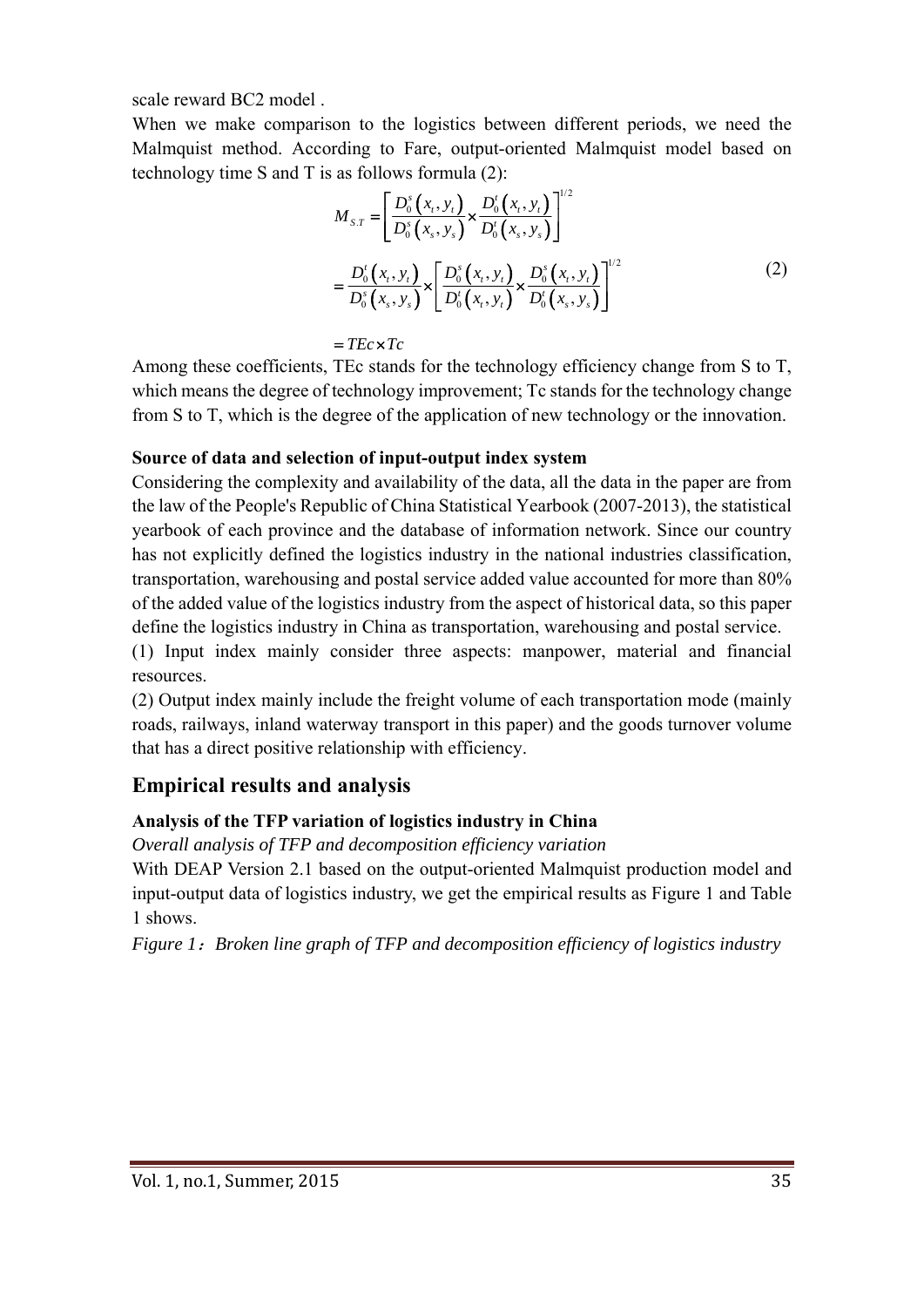scale reward BC2 model .

When we make comparison to the logistics between different periods, we need the Malmquist method. According to Fare, output-oriented Malmquist model based on technology time S and T is as follows formula (2):

$$
M_{sT} = \left[ \frac{D_0^s(x_t, y_t)}{D_0^s(x_s, y_s)} \times \frac{D_0^t(x_t, y_t)}{D_0^t(x_s, y_s)} \right]^{1/2}
$$
  
= 
$$
\frac{D_0^t(x_t, y_t)}{D_0^s(x_s, y_s)} \times \left[ \frac{D_0^s(x_t, y_t)}{D_0^t(x_t, y_t)} \times \frac{D_0^s(x_t, y_t)}{D_0^t(x_s, y_s)} \right]^{1/2}
$$
(2)

 $=$ *TEc*  $\times$ *Tc* 

Among these coefficients, TEc stands for the technology efficiency change from S to T, which means the degree of technology improvement; Tc stands for the technology change from S to T, which is the degree of the application of new technology or the innovation.

#### **Source of data and selection of input-output index system**

Considering the complexity and availability of the data, all the data in the paper are from the law of the People's Republic of China Statistical Yearbook (2007-2013), the statistical yearbook of each province and the database of information network. Since our country has not explicitly defined the logistics industry in the national industries classification, transportation, warehousing and postal service added value accounted for more than 80% of the added value of the logistics industry from the aspect of historical data, so this paper define the logistics industry in China as transportation, warehousing and postal service.

(1) Input index mainly consider three aspects: manpower, material and financial resources.

(2) Output index mainly include the freight volume of each transportation mode (mainly roads, railways, inland waterway transport in this paper) and the goods turnover volume that has a direct positive relationship with efficiency.

## **Empirical results and analysis**

#### **Analysis of the TFP variation of logistics industry in China**

*Overall analysis of TFP and decomposition efficiency variation*

With DEAP Version 2.1 based on the output-oriented Malmquist production model and input-output data of logistics industry, we get the empirical results as Figure 1 and Table 1 shows.

*Figure 1*:*Broken line graph of TFP and decomposition efficiency of logistics industry*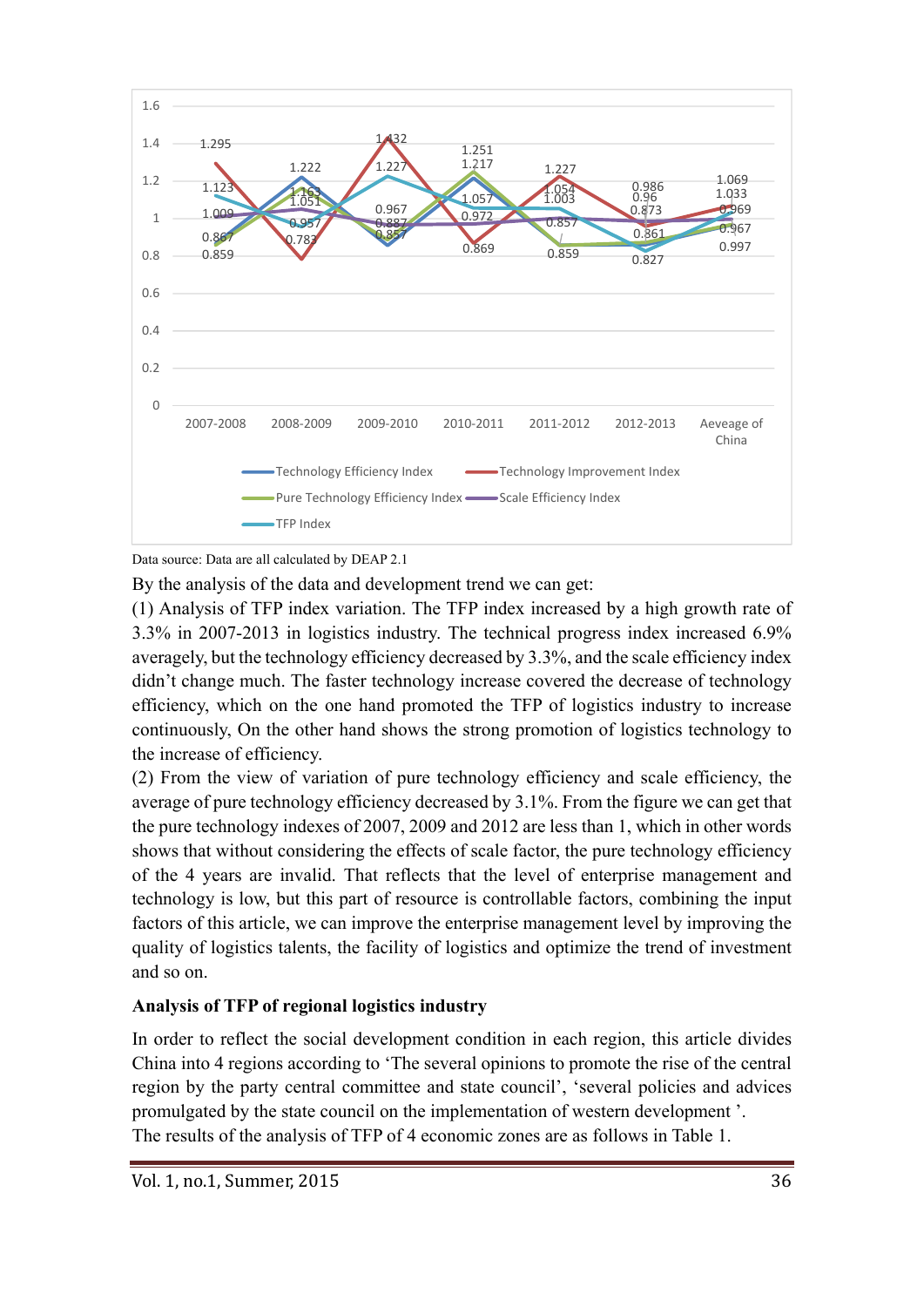

Data source: Data are all calculated by DEAP 2.1

By the analysis of the data and development trend we can get:

(1) Analysis of TFP index variation. The TFP index increased by a high growth rate of 3.3% in 2007-2013 in logistics industry. The technical progress index increased 6.9% averagely, but the technology efficiency decreased by 3.3%, and the scale efficiency index didn't change much. The faster technology increase covered the decrease of technology efficiency, which on the one hand promoted the TFP of logistics industry to increase continuously, On the other hand shows the strong promotion of logistics technology to the increase of efficiency.

(2) From the view of variation of pure technology efficiency and scale efficiency, the average of pure technology efficiency decreased by 3.1%. From the figure we can get that the pure technology indexes of 2007, 2009 and 2012 are less than 1, which in other words shows that without considering the effects of scale factor, the pure technology efficiency of the 4 years are invalid. That reflects that the level of enterprise management and technology is low, but this part of resource is controllable factors, combining the input factors of this article, we can improve the enterprise management level by improving the quality of logistics talents, the facility of logistics and optimize the trend of investment and so on.

#### **Analysis of TFP of regional logistics industry**

In order to reflect the social development condition in each region, this article divides China into 4 regions according to 'The several opinions to promote the rise of the central region by the party central committee and state council', 'several policies and advices promulgated by the state council on the implementation of western development '. The results of the analysis of TFP of 4 economic zones are as follows in Table 1.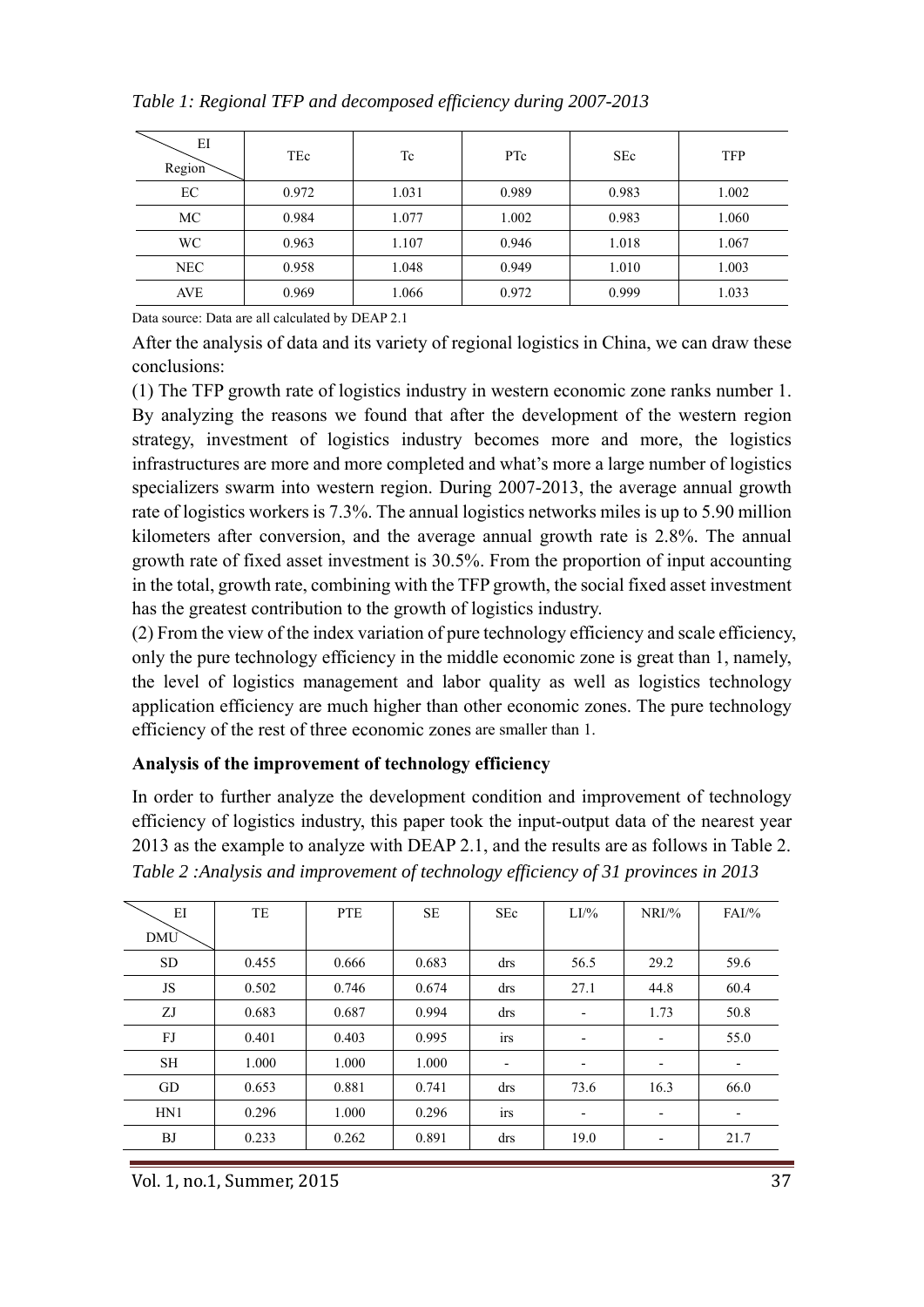| ΕI<br>Region | TEc   | Tc    | PTc   | <b>SEc</b> | <b>TFP</b> |
|--------------|-------|-------|-------|------------|------------|
| EC           | 0.972 | 1.031 | 0.989 | 0.983      | 1.002      |
| MC           | 0.984 | 1.077 | 1.002 | 0.983      | 1.060      |
| <b>WC</b>    | 0.963 | 1.107 | 0.946 | 1.018      | 1.067      |
| NEC          | 0.958 | 1.048 | 0.949 | 1.010      | 1.003      |
| <b>AVE</b>   | 0.969 | 1.066 | 0.972 | 0.999      | 1.033      |

Data source: Data are all calculated by DEAP 2.1

After the analysis of data and its variety of regional logistics in China, we can draw these conclusions:

(1) The TFP growth rate of logistics industry in western economic zone ranks number 1. By analyzing the reasons we found that after the development of the western region strategy, investment of logistics industry becomes more and more, the logistics infrastructures are more and more completed and what's more a large number of logistics specializers swarm into western region. During 2007-2013, the average annual growth rate of logistics workers is 7.3%. The annual logistics networks miles is up to 5.90 million kilometers after conversion, and the average annual growth rate is 2.8%. The annual growth rate of fixed asset investment is 30.5%. From the proportion of input accounting in the total, growth rate, combining with the TFP growth, the social fixed asset investment has the greatest contribution to the growth of logistics industry.

(2) From the view of the index variation of pure technology efficiency and scale efficiency, only the pure technology efficiency in the middle economic zone is great than 1, namely, the level of logistics management and labor quality as well as logistics technology application efficiency are much higher than other economic zones. The pure technology efficiency of the rest of three economic zones are smaller than 1.

#### **Analysis of the improvement of technology efficiency**

In order to further analyze the development condition and improvement of technology efficiency of logistics industry, this paper took the input-output data of the nearest year 2013 as the example to analyze with DEAP 2.1, and the results are as follows in Table 2. *Table 2 :Analysis and improvement of technology efficiency of 31 provinces in 2013*

| $E$ I      | TE    | <b>PTE</b> | SE    | <b>SEc</b> | $LI\%$                       | $NRI\%$                  | $FAI\frac{9}{6}$         |
|------------|-------|------------|-------|------------|------------------------------|--------------------------|--------------------------|
| <b>DMU</b> |       |            |       |            |                              |                          |                          |
| <b>SD</b>  | 0.455 | 0.666      | 0.683 | drs        | 56.5                         | 29.2                     | 59.6                     |
| <b>JS</b>  | 0.502 | 0.746      | 0.674 | drs        | 27.1                         | 44.8                     | 60.4                     |
| ZJ         | 0.683 | 0.687      | 0.994 | drs        | $\overline{\phantom{a}}$     | 1.73                     | 50.8                     |
| FJ         | 0.401 | 0.403      | 0.995 | irs        | $\overline{\phantom{a}}$     | $\overline{\phantom{a}}$ | 55.0                     |
| <b>SH</b>  | 1.000 | 1.000      | 1.000 | -          | $\qquad \qquad \blacksquare$ | $\overline{\phantom{0}}$ | $\overline{\phantom{a}}$ |
| GD         | 0.653 | 0.881      | 0.741 | drs        | 73.6                         | 16.3                     | 66.0                     |
| HN1        | 0.296 | 1.000      | 0.296 | irs        | $\overline{\phantom{a}}$     | $\overline{\phantom{a}}$ | $\overline{\phantom{a}}$ |
| <b>BJ</b>  | 0.233 | 0.262      | 0.891 | drs        | 19.0                         | $\overline{\phantom{a}}$ | 21.7                     |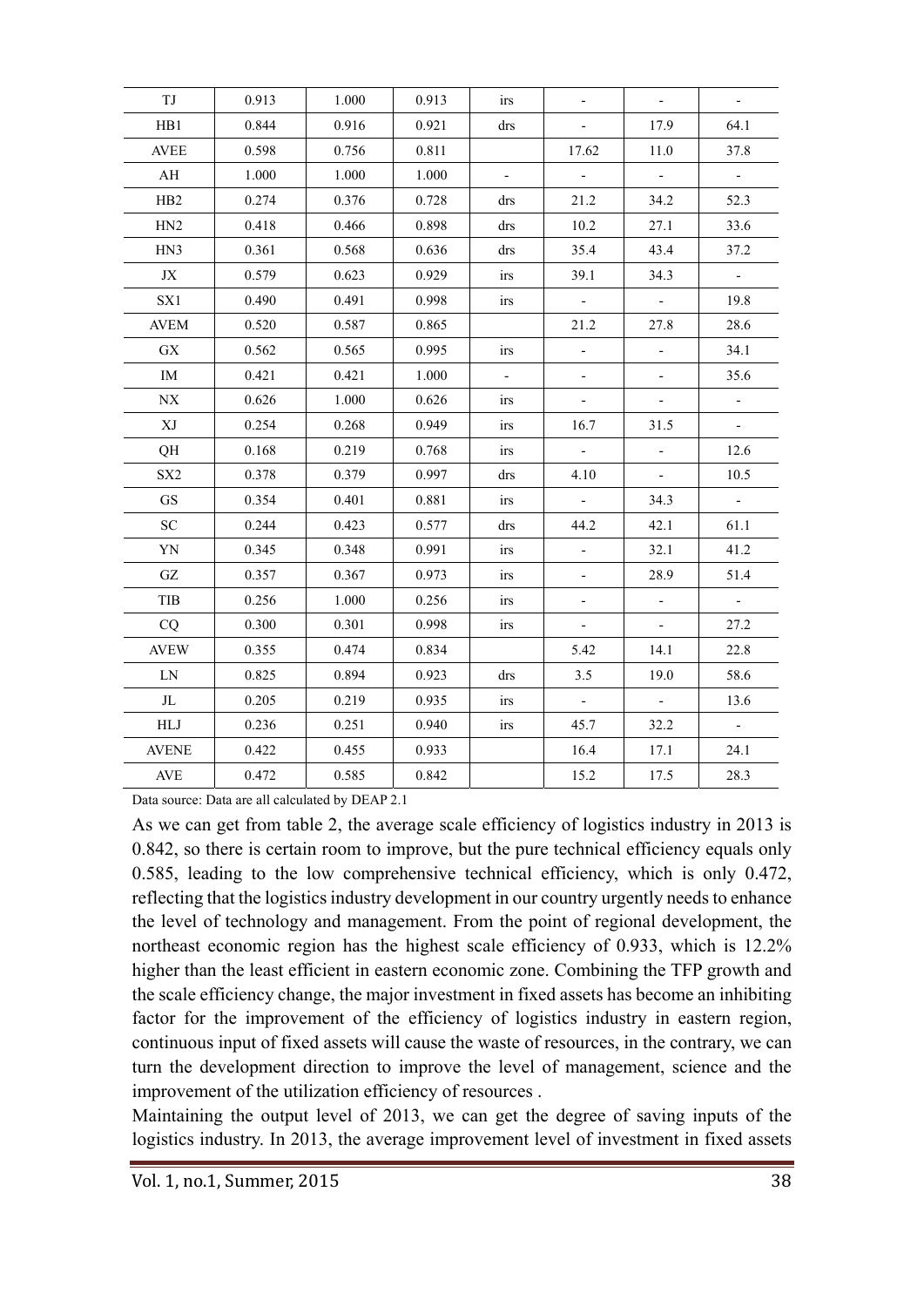| TJ                                           | 0.913 | 1.000 | 0.913 | <i>irs</i> | $\overline{\phantom{a}}$    | $\overline{\phantom{a}}$ |                          |
|----------------------------------------------|-------|-------|-------|------------|-----------------------------|--------------------------|--------------------------|
| HB1                                          | 0.844 | 0.916 | 0.921 | drs        | $\overline{\phantom{a}}$    | 17.9                     | 64.1                     |
| <b>AVEE</b>                                  | 0.598 | 0.756 | 0.811 |            | 17.62                       | 11.0                     | 37.8                     |
| AH                                           | 1.000 | 1.000 | 1.000 |            | $\mathcal{L}_{\mathcal{A}}$ | $\Box$                   | $\blacksquare$           |
| H <sub>B2</sub>                              | 0.274 | 0.376 | 0.728 | drs        | 21.2                        | 34.2                     | 52.3                     |
| H <sub>N2</sub>                              | 0.418 | 0.466 | 0.898 | drs        | 10.2                        | 27.1                     | 33.6                     |
| HN3                                          | 0.361 | 0.568 | 0.636 | drs        | 35.4                        | 43.4                     | 37.2                     |
| JX                                           | 0.579 | 0.623 | 0.929 | irs        | 39.1                        | 34.3                     | $\sim$                   |
| SX1                                          | 0.490 | 0.491 | 0.998 | irs        | $\overline{\phantom{a}}$    | $\overline{\phantom{a}}$ | 19.8                     |
| <b>AVEM</b>                                  | 0.520 | 0.587 | 0.865 |            | 21.2                        | 27.8                     | 28.6                     |
| <b>GX</b>                                    | 0.562 | 0.565 | 0.995 | irs        | $\overline{\phantom{a}}$    | $\overline{\phantom{a}}$ | 34.1                     |
| IM                                           | 0.421 | 0.421 | 1.000 |            | $\blacksquare$              |                          | 35.6                     |
| $\ensuremath{\text{N}}\ensuremath{\text{X}}$ | 0.626 | 1.000 | 0.626 | irs        | $\overline{\phantom{a}}$    | $\overline{\phantom{a}}$ | $\overline{\phantom{a}}$ |
| XJ                                           | 0.254 | 0.268 | 0.949 | irs        | 16.7                        | 31.5                     | $\overline{\phantom{a}}$ |
| QH                                           | 0.168 | 0.219 | 0.768 | irs        | $\overline{\phantom{a}}$    | $\overline{\phantom{a}}$ | 12.6                     |
| SX <sub>2</sub>                              | 0.378 | 0.379 | 0.997 | drs        | 4.10                        | $\mathbb{L}$             | 10.5                     |
| <b>GS</b>                                    | 0.354 | 0.401 | 0.881 | irs        | $\sim$                      | 34.3                     | $\overline{\phantom{a}}$ |
| <b>SC</b>                                    | 0.244 | 0.423 | 0.577 | drs        | 44.2                        | 42.1                     | 61.1                     |
| YN                                           | 0.345 | 0.348 | 0.991 | irs        | $\overline{\phantom{a}}$    | 32.1                     | 41.2                     |
| GZ                                           | 0.357 | 0.367 | 0.973 | irs        | $\overline{\phantom{a}}$    | 28.9                     | 51.4                     |
| TIB                                          | 0.256 | 1.000 | 0.256 | <i>irs</i> | $\overline{\phantom{a}}$    | $\bar{\phantom{a}}$      | $\sim$                   |
| CQ                                           | 0.300 | 0.301 | 0.998 | irs        | $\overline{\phantom{a}}$    | $\overline{\phantom{a}}$ | 27.2                     |
| <b>AVEW</b>                                  | 0.355 | 0.474 | 0.834 |            | 5.42                        | 14.1                     | 22.8                     |
| ${\rm LN}$                                   | 0.825 | 0.894 | 0.923 | drs        | 3.5                         | 19.0                     | 58.6                     |
| JL                                           | 0.205 | 0.219 | 0.935 | irs        | $\overline{\phantom{a}}$    | $\blacksquare$           | 13.6                     |
| ${\rm HLJ}$                                  | 0.236 | 0.251 | 0.940 | irs        | 45.7                        | 32.2                     | $\mathbb{L}$             |
| <b>AVENE</b>                                 | 0.422 | 0.455 | 0.933 |            | 16.4                        | 17.1                     | 24.1                     |
| <b>AVE</b>                                   | 0.472 | 0.585 | 0.842 |            | 15.2                        | 17.5                     | 28.3                     |
|                                              |       |       |       |            |                             |                          |                          |

Data source: Data are all calculated by DEAP 2.1

As we can get from table 2, the average scale efficiency of logistics industry in 2013 is 0.842, so there is certain room to improve, but the pure technical efficiency equals only 0.585, leading to the low comprehensive technical efficiency, which is only 0.472, reflecting that the logistics industry development in our country urgently needs to enhance the level of technology and management. From the point of regional development, the northeast economic region has the highest scale efficiency of 0.933, which is 12.2% higher than the least efficient in eastern economic zone. Combining the TFP growth and the scale efficiency change, the major investment in fixed assets has become an inhibiting factor for the improvement of the efficiency of logistics industry in eastern region, continuous input of fixed assets will cause the waste of resources, in the contrary, we can turn the development direction to improve the level of management, science and the improvement of the utilization efficiency of resources .

Maintaining the output level of 2013, we can get the degree of saving inputs of the logistics industry. In 2013, the average improvement level of investment in fixed assets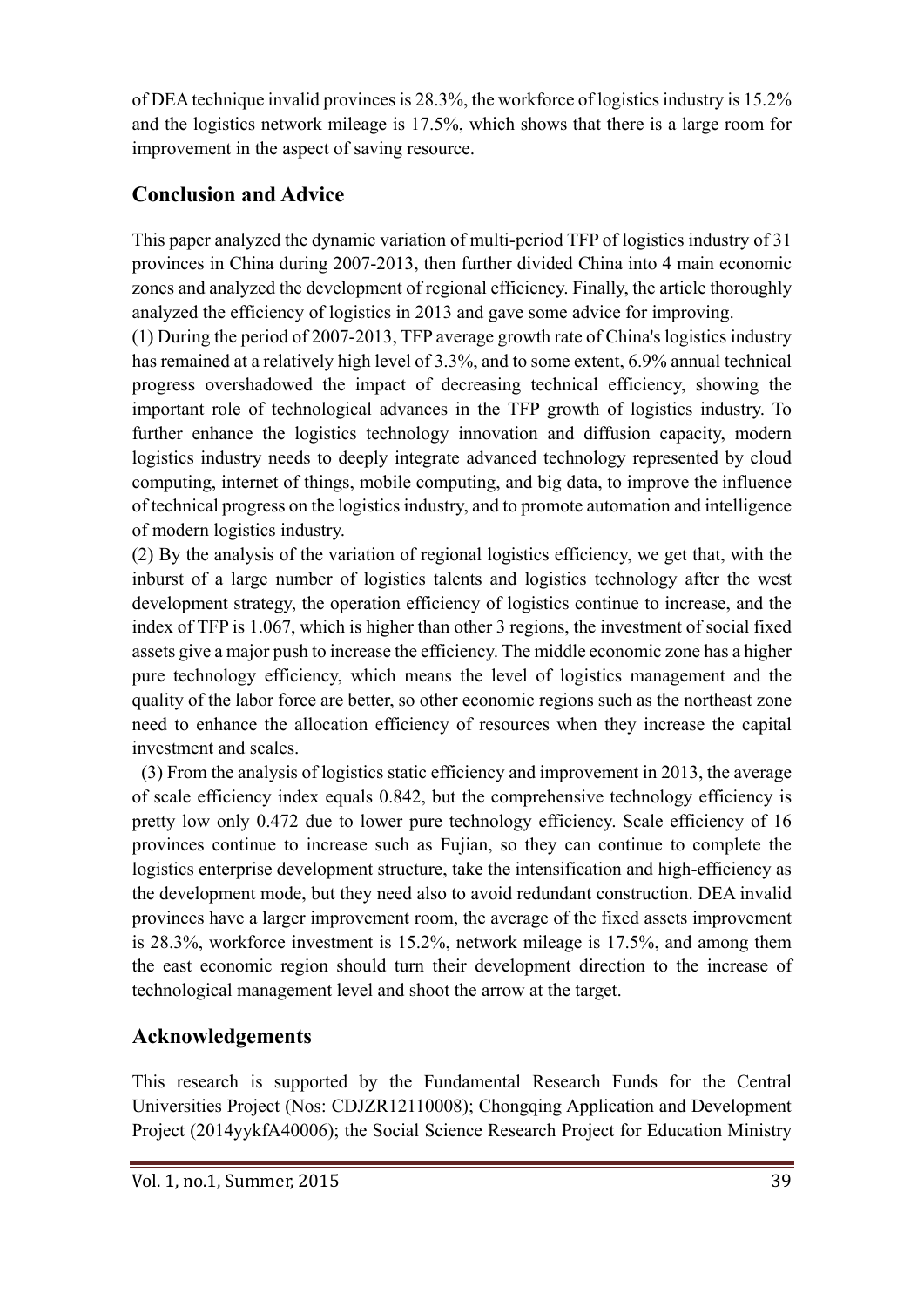of DEA technique invalid provinces is 28.3%, the workforce of logistics industry is 15.2% and the logistics network mileage is 17.5%, which shows that there is a large room for improvement in the aspect of saving resource.

# **Conclusion and Advice**

This paper analyzed the dynamic variation of multi-period TFP of logistics industry of 31 provinces in China during 2007-2013, then further divided China into 4 main economic zones and analyzed the development of regional efficiency. Finally, the article thoroughly analyzed the efficiency of logistics in 2013 and gave some advice for improving.

(1) During the period of 2007-2013, TFP average growth rate of China's logistics industry has remained at a relatively high level of 3.3%, and to some extent, 6.9% annual technical progress overshadowed the impact of decreasing technical efficiency, showing the important role of technological advances in the TFP growth of logistics industry. To further enhance the logistics technology innovation and diffusion capacity, modern logistics industry needs to deeply integrate advanced technology represented by cloud computing, internet of things, mobile computing, and big data, to improve the influence of technical progress on the logistics industry, and to promote automation and intelligence of modern logistics industry.

(2) By the analysis of the variation of regional logistics efficiency, we get that, with the inburst of a large number of logistics talents and logistics technology after the west development strategy, the operation efficiency of logistics continue to increase, and the index of TFP is 1.067, which is higher than other 3 regions, the investment of social fixed assets give a major push to increase the efficiency. The middle economic zone has a higher pure technology efficiency, which means the level of logistics management and the quality of the labor force are better, so other economic regions such as the northeast zone need to enhance the allocation efficiency of resources when they increase the capital investment and scales.

 (3) From the analysis of logistics static efficiency and improvement in 2013, the average of scale efficiency index equals 0.842, but the comprehensive technology efficiency is pretty low only 0.472 due to lower pure technology efficiency. Scale efficiency of 16 provinces continue to increase such as Fujian, so they can continue to complete the logistics enterprise development structure, take the intensification and high-efficiency as the development mode, but they need also to avoid redundant construction. DEA invalid provinces have a larger improvement room, the average of the fixed assets improvement is 28.3%, workforce investment is 15.2%, network mileage is 17.5%, and among them the east economic region should turn their development direction to the increase of technological management level and shoot the arrow at the target.

## **Acknowledgements**

This research is supported by the Fundamental Research Funds for the Central Universities Project (Nos: CDJZR12110008); Chongqing Application and Development Project (2014yykfA40006); the Social Science Research Project for Education Ministry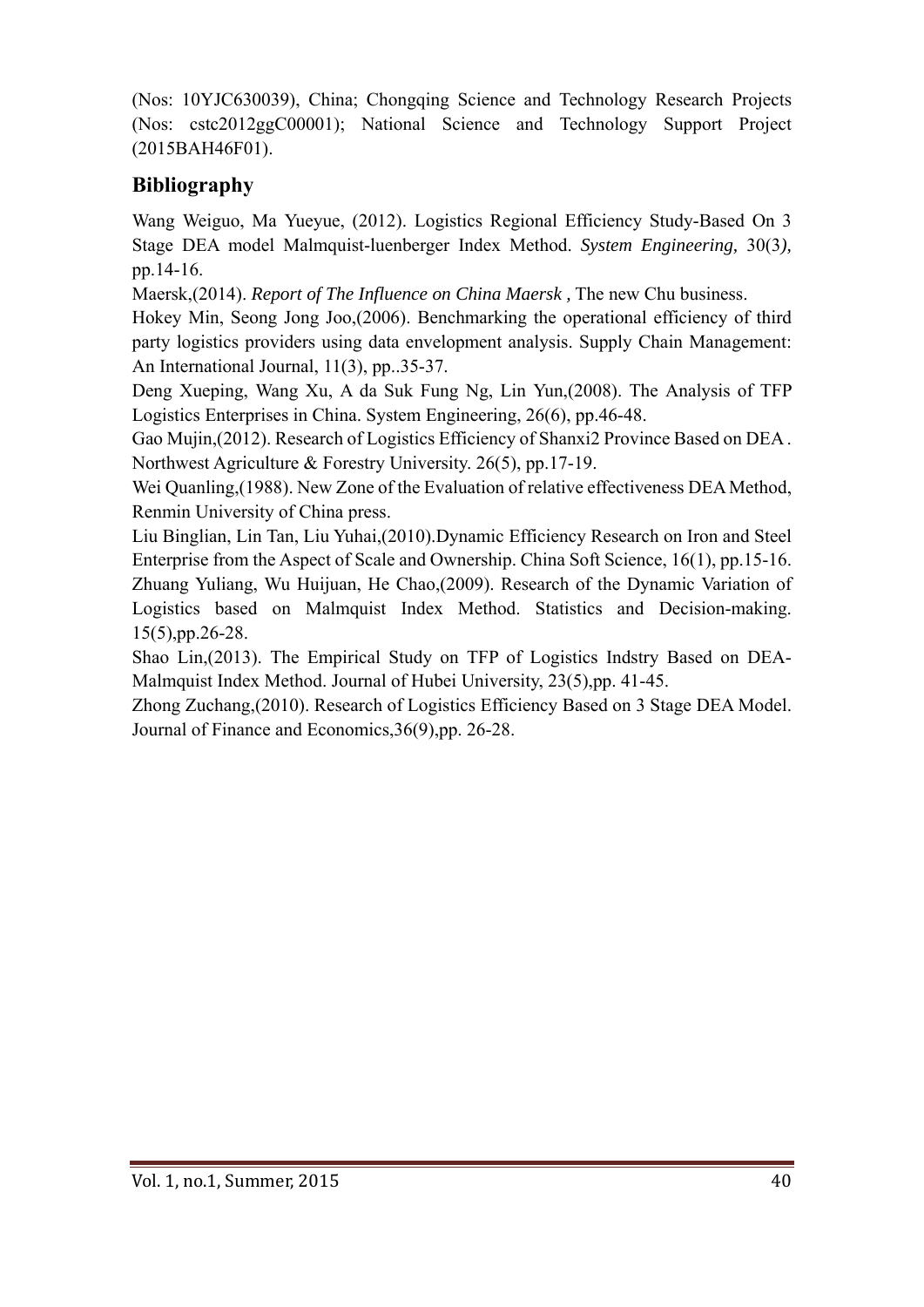(Nos: 10YJC630039), China; Chongqing Science and Technology Research Projects (Nos: cstc2012ggC00001); National Science and Technology Support Project (2015BAH46F01).

# **Bibliography**

Wang Weiguo, Ma Yueyue, (2012). Logistics Regional Efficiency Study-Based On 3 Stage DEA model Malmquist-luenberger Index Method. *System Engineering,* 30(3*),*  pp.14-16.

Maersk,(2014). *Report of The Influence on China Maersk ,* The new Chu business.

Hokey Min, Seong Jong Joo,(2006). Benchmarking the operational efficiency of third party logistics providers using data envelopment analysis. Supply Chain Management: An International Journal, 11(3), pp..35-37.

Deng Xueping, Wang Xu, A da Suk Fung Ng, Lin Yun,(2008). The Analysis of TFP Logistics Enterprises in China. System Engineering, 26(6), pp.46-48.

Gao Mujin,(2012). Research of Logistics Efficiency of Shanxi2 Province Based on DEA . Northwest Agriculture & Forestry University. 26(5), pp.17-19.

Wei Quanling,(1988). New Zone of the Evaluation of relative effectiveness DEA Method, Renmin University of China press.

Liu Binglian, Lin Tan, Liu Yuhai,(2010).Dynamic Efficiency Research on Iron and Steel Enterprise from the Aspect of Scale and Ownership. China Soft Science, 16(1), pp.15-16. Zhuang Yuliang, Wu Huijuan, He Chao,(2009). Research of the Dynamic Variation of Logistics based on Malmquist Index Method. Statistics and Decision-making. 15(5),pp.26-28.

Shao Lin,(2013). The Empirical Study on TFP of Logistics Indstry Based on DEA-Malmquist Index Method. Journal of Hubei University, 23(5),pp. 41-45.

Zhong Zuchang,(2010). Research of Logistics Efficiency Based on 3 Stage DEA Model. Journal of Finance and Economics,36(9),pp. 26-28.